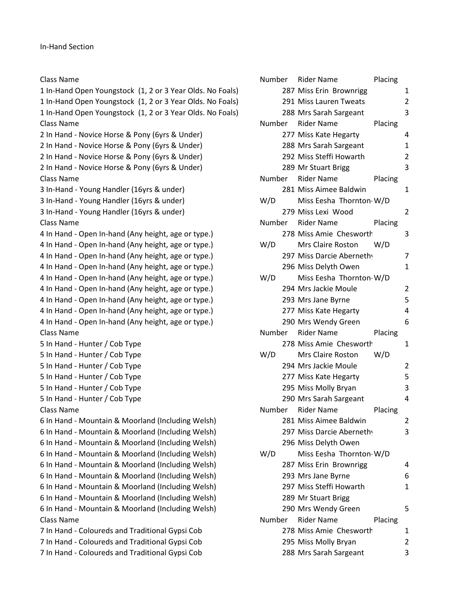Class Name **Number Rider Name** Placing 1 In-Hand Open Youngstock (1, 2 or 3 Year Olds. No Foals) 1 In-Hand Open Youngstock (1, 2 or 3 Year Olds. No Foals) 1 In-Hand Open Youngstock (1, 2 or 3 Year Olds. No Foals) Class Name **Number Rider Name** Placing 2 In Hand - Novice Horse & Pony (6yrs & Under) 2 In Hand - Novice Horse & Pony (6yrs & Under) 2 In Hand - Novice Horse & Pony (6yrs & Under) 2 In Hand - Novice Horse & Pony (6yrs & Under) Class Name **Number Rider Name** Placing 3 In-Hand - Young Handler (16yrs & under) 3 In-Hand - Young Handler (16yrs & under) 3 In-Hand - Young Handler (16yrs & under) Class Name **Number Rider Name** Placing 4 In Hand - Open In-hand (Any height, age or type.) 4 In Hand - Open In-hand (Any height, age or type.) 4 In Hand - Open In-hand (Any height, age or type.) 4 In Hand - Open In-hand (Any height, age or type.) 4 In Hand - Open In-hand (Any height, age or type.) 4 In Hand - Open In-hand (Any height, age or type.) 4 In Hand - Open In-hand (Any height, age or type.) 4 In Hand - Open In-hand (Any height, age or type.) 4 In Hand - Open In-hand (Any height, age or type.) Class Name **Number Rider Name** Placing 5 In Hand - Hunter / Cob Type 5 In Hand - Hunter / Cob Type 5 In Hand - Hunter / Cob Type 5 In Hand - Hunter / Cob Type 5 In Hand - Hunter / Cob Type 5 In Hand - Hunter / Cob Type Class Name **Number Rider Name** Placing 6 In Hand - Mountain & Moorland (Including Welsh) 6 In Hand - Mountain & Moorland (Including Welsh) 6 In Hand - Mountain & Moorland (Including Welsh) 6 In Hand - Mountain & Moorland (Including Welsh) 6 In Hand - Mountain & Moorland (Including Welsh) 6 In Hand - Mountain & Moorland (Including Welsh) 6 In Hand - Mountain & Moorland (Including Welsh) 6 In Hand - Mountain & Moorland (Including Welsh) 6 In Hand - Mountain & Moorland (Including Welsh) Class Name **Number Rider Name** Placing 7 In Hand - Coloureds and Traditional Gypsi Cob 7 In Hand - Coloureds and Traditional Gypsi Cob 7 In Hand - Coloureds and Traditional Gypsi Cob

|        |  | Placing<br>Number Rider Name    |                         |
|--------|--|---------------------------------|-------------------------|
|        |  | 287 Miss Erin Brownrigg         | 1                       |
|        |  | 291 Miss Lauren Tweats          | $\overline{\mathbf{c}}$ |
|        |  | 288 Mrs Sarah Sargeant          | 3                       |
|        |  | Number Rider Name<br>Placing    |                         |
|        |  | 277 Miss Kate Hegarty           | 4                       |
|        |  | 288 Mrs Sarah Sargeant          | 1                       |
|        |  | 292 Miss Steffi Howarth         | 2                       |
|        |  | 289 Mr Stuart Brigg             | 3                       |
|        |  | Number Rider Name<br>Placing    |                         |
|        |  | 281 Miss Aimee Baldwin          | 1                       |
| W/D    |  | Miss Eesha Thornton W/D         |                         |
|        |  | 279 Miss Lexi Wood              | 2                       |
|        |  | Number Rider Name<br>Placing    |                         |
|        |  | 278 Miss Amie Chesworth         | 3                       |
| W/D    |  | Mrs Claire Roston<br>W/D        |                         |
|        |  | 297 Miss Darcie Aberneth        | 7                       |
|        |  | 296 Miss Delyth Owen            | 1                       |
| W/D    |  | Miss Eesha Thornton W/D         |                         |
|        |  | 294 Mrs Jackie Moule            | 2                       |
|        |  | 293 Mrs Jane Byrne              | 5                       |
|        |  | 277 Miss Kate Hegarty           | 4                       |
|        |  | 290 Mrs Wendy Green             | 6                       |
|        |  | Number Rider Name<br>Placing    |                         |
|        |  | 278 Miss Amie Chesworth         | $\mathbf{1}$            |
| W/D    |  | <b>Mrs Claire Roston</b><br>W/D |                         |
|        |  | 294 Mrs Jackie Moule            | 2                       |
|        |  | 277 Miss Kate Hegarty           | 5                       |
|        |  | 295 Miss Molly Bryan            | 3                       |
|        |  | 290 Mrs Sarah Sargeant          | 4                       |
|        |  | Number Rider Name<br>Placing    |                         |
|        |  | 281 Miss Aimee Baldwin          | 2                       |
|        |  | 297 Miss Darcie Aberneth        | 3                       |
|        |  | 296 Miss Delyth Owen            |                         |
| W/D    |  | Miss Eesha Thornton W/D         |                         |
|        |  | 287 Miss Erin Brownrigg         | 4                       |
|        |  | 293 Mrs Jane Byrne              | 6                       |
|        |  | 297 Miss Steffi Howarth         | 1                       |
|        |  | 289 Mr Stuart Brigg             |                         |
|        |  | 290 Mrs Wendy Green             | 5                       |
| Number |  | <b>Rider Name</b><br>Placing    |                         |
|        |  | 278 Miss Amie Chesworth         | 1                       |
|        |  | 295 Miss Molly Bryan            | $\overline{\mathbf{c}}$ |
|        |  | 288 Mrs Sarah Sargeant          | 3                       |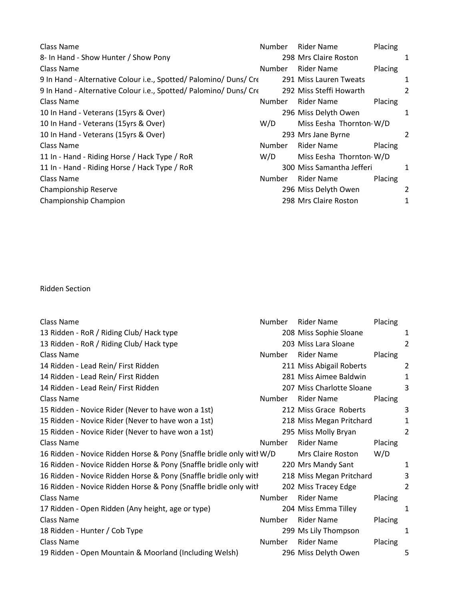Class Name **Number Rider Name** Placing 8- In Hand - Show Hunter / Show Pony 2008 Mrs Claire Roston 2008 Mrs Claire Roston Class Name **Number Rider Name** Placing 9 In Hand - Alternative Colour i.e., Spotted/ Palomino/ Duns/ Crecallos 291 Miss Lauren Tweats 1 9 In Hand - Alternative Colour i.e., Spotted/ Palomino/ Duns/ Crechellos 292 Miss Steffi Howarth 2 Class Name **Number Rider Name** Placing 10 In Hand - Veterans (15yrs & Over) 296 Miss Delyth Owen 1 10 In Hand - Veterans (15yrs & Over) Miss Eesha Thornton-W/D Miss Eesha Thornton-W/D 10 In Hand - Veterans (15yrs & Over) 2008 2012 203 Mrs Jane Byrne 2014 Class Name **Number Rider Name** Placing 11 In - Hand - Riding Horse / Hack Type / RoR W/D Miss Eesha Thornton-W/D 11 In - Hand - Riding Horse / Hack Type / RoR 300 Miss Samantha Jefferi 1 Class Name **Number Rider Name** Placing Championship Reserve 296 Miss Delyth Owen 2 Championship Champion 298 Mrs Claire Roston 1

Ridden Section

| Class Name                                                           | Number | Rider Name                | Placing |                |
|----------------------------------------------------------------------|--------|---------------------------|---------|----------------|
| 13 Ridden - RoR / Riding Club/ Hack type                             |        | 208 Miss Sophie Sloane    |         | 1              |
| 13 Ridden - RoR / Riding Club/ Hack type                             |        | 203 Miss Lara Sloane      |         | 2              |
| Class Name                                                           | Number | <b>Rider Name</b>         | Placing |                |
| 14 Ridden - Lead Rein/ First Ridden                                  |        | 211 Miss Abigail Roberts  |         | 2              |
| 14 Ridden - Lead Rein/ First Ridden                                  |        | 281 Miss Aimee Baldwin    |         | $\mathbf{1}$   |
| 14 Ridden - Lead Rein/ First Ridden                                  |        | 207 Miss Charlotte Sloane |         | 3              |
| Class Name                                                           | Number | Rider Name                | Placing |                |
| 15 Ridden - Novice Rider (Never to have won a 1st)                   |        | 212 Miss Grace Roberts    |         | 3              |
| 15 Ridden - Novice Rider (Never to have won a 1st)                   |        | 218 Miss Megan Pritchard  |         | 1              |
| 15 Ridden - Novice Rider (Never to have won a 1st)                   |        | 295 Miss Molly Bryan      |         | $\overline{2}$ |
| Class Name                                                           | Number | <b>Rider Name</b>         | Placing |                |
| 16 Ridden - Novice Ridden Horse & Pony (Snaffle bridle only witl W/D |        | <b>Mrs Claire Roston</b>  | W/D     |                |
| 16 Ridden - Novice Ridden Horse & Pony (Snaffle bridle only with     |        | 220 Mrs Mandy Sant        |         | 1              |
| 16 Ridden - Novice Ridden Horse & Pony (Snaffle bridle only with     |        | 218 Miss Megan Pritchard  |         | 3              |
| 16 Ridden - Novice Ridden Horse & Pony (Snaffle bridle only with     |        | 202 Miss Tracey Edge      |         | 2              |
| Class Name                                                           | Number | <b>Rider Name</b>         | Placing |                |
| 17 Ridden - Open Ridden (Any height, age or type)                    |        | 204 Miss Emma Tilley      |         | 1              |
| Class Name                                                           | Number | <b>Rider Name</b>         | Placing |                |
| 18 Ridden - Hunter / Cob Type                                        |        | 299 Ms Lily Thompson      |         | 1              |
| Class Name                                                           | Number | <b>Rider Name</b>         | Placing |                |
| 19 Ridden - Open Mountain & Moorland (Including Welsh)               |        | 296 Miss Delyth Owen      |         | 5              |
|                                                                      |        |                           |         |                |